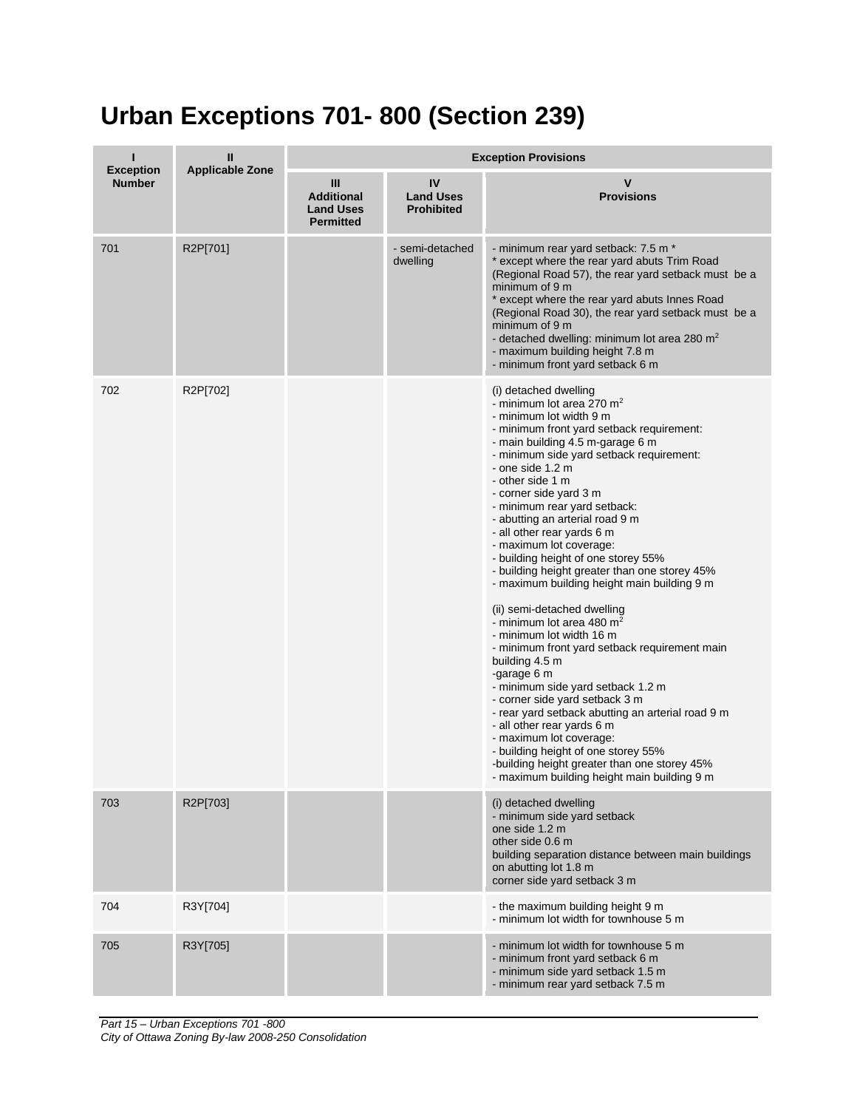## **Urban Exceptions 701- 800 (Section 239)**

| <b>Exception</b> | Ш<br><b>Applicable Zone</b> | <b>Exception Provisions</b>                                    |                                             |                                                                                                                                                                                                                                                                                                                                                                                                                                                                                                                                                                                                                                                                                                                                                                                                                                                                                                                                                                                                                                                                    |  |
|------------------|-----------------------------|----------------------------------------------------------------|---------------------------------------------|--------------------------------------------------------------------------------------------------------------------------------------------------------------------------------------------------------------------------------------------------------------------------------------------------------------------------------------------------------------------------------------------------------------------------------------------------------------------------------------------------------------------------------------------------------------------------------------------------------------------------------------------------------------------------------------------------------------------------------------------------------------------------------------------------------------------------------------------------------------------------------------------------------------------------------------------------------------------------------------------------------------------------------------------------------------------|--|
| <b>Number</b>    |                             | Ш<br><b>Additional</b><br><b>Land Uses</b><br><b>Permitted</b> | IV<br><b>Land Uses</b><br><b>Prohibited</b> | v<br><b>Provisions</b>                                                                                                                                                                                                                                                                                                                                                                                                                                                                                                                                                                                                                                                                                                                                                                                                                                                                                                                                                                                                                                             |  |
| 701              | R2P[701]                    |                                                                | - semi-detached<br>dwelling                 | - minimum rear yard setback: 7.5 m *<br>* except where the rear yard abuts Trim Road<br>(Regional Road 57), the rear yard setback must be a<br>minimum of 9 m<br>* except where the rear yard abuts Innes Road<br>(Regional Road 30), the rear yard setback must be a<br>minimum of 9 m<br>- detached dwelling: minimum lot area 280 m <sup>2</sup><br>- maximum building height 7.8 m<br>- minimum front yard setback 6 m                                                                                                                                                                                                                                                                                                                                                                                                                                                                                                                                                                                                                                         |  |
| 702              | R2P[702]                    |                                                                |                                             | (i) detached dwelling<br>- minimum lot area 270 $m2$<br>- minimum lot width 9 m<br>- minimum front yard setback requirement:<br>- main building 4.5 m-garage 6 m<br>- minimum side yard setback requirement:<br>- one side 1.2 m<br>- other side 1 m<br>- corner side yard 3 m<br>- minimum rear yard setback:<br>- abutting an arterial road 9 m<br>- all other rear yards 6 m<br>- maximum lot coverage:<br>- building height of one storey 55%<br>- building height greater than one storey 45%<br>- maximum building height main building 9 m<br>(ii) semi-detached dwelling<br>- minimum lot area 480 m <sup>2</sup><br>- minimum lot width 16 m<br>- minimum front yard setback requirement main<br>building 4.5 m<br>-garage 6 m<br>- minimum side yard setback 1.2 m<br>- corner side yard setback 3 m<br>- rear yard setback abutting an arterial road 9 m<br>- all other rear yards 6 m<br>- maximum lot coverage:<br>- building height of one storey 55%<br>-building height greater than one storey 45%<br>- maximum building height main building 9 m |  |
| 703              | R2P[703]                    |                                                                |                                             | (i) detached dwelling<br>- minimum side yard setback<br>one side 1.2 m<br>other side 0.6 m<br>building separation distance between main buildings<br>on abutting lot 1.8 m<br>corner side yard setback 3 m                                                                                                                                                                                                                                                                                                                                                                                                                                                                                                                                                                                                                                                                                                                                                                                                                                                         |  |
| 704              | R3Y[704]                    |                                                                |                                             | - the maximum building height 9 m<br>- minimum lot width for townhouse 5 m                                                                                                                                                                                                                                                                                                                                                                                                                                                                                                                                                                                                                                                                                                                                                                                                                                                                                                                                                                                         |  |
| 705              | R3Y[705]                    |                                                                |                                             | - minimum lot width for townhouse 5 m<br>- minimum front yard setback 6 m<br>- minimum side yard setback 1.5 m<br>- minimum rear yard setback 7.5 m                                                                                                                                                                                                                                                                                                                                                                                                                                                                                                                                                                                                                                                                                                                                                                                                                                                                                                                |  |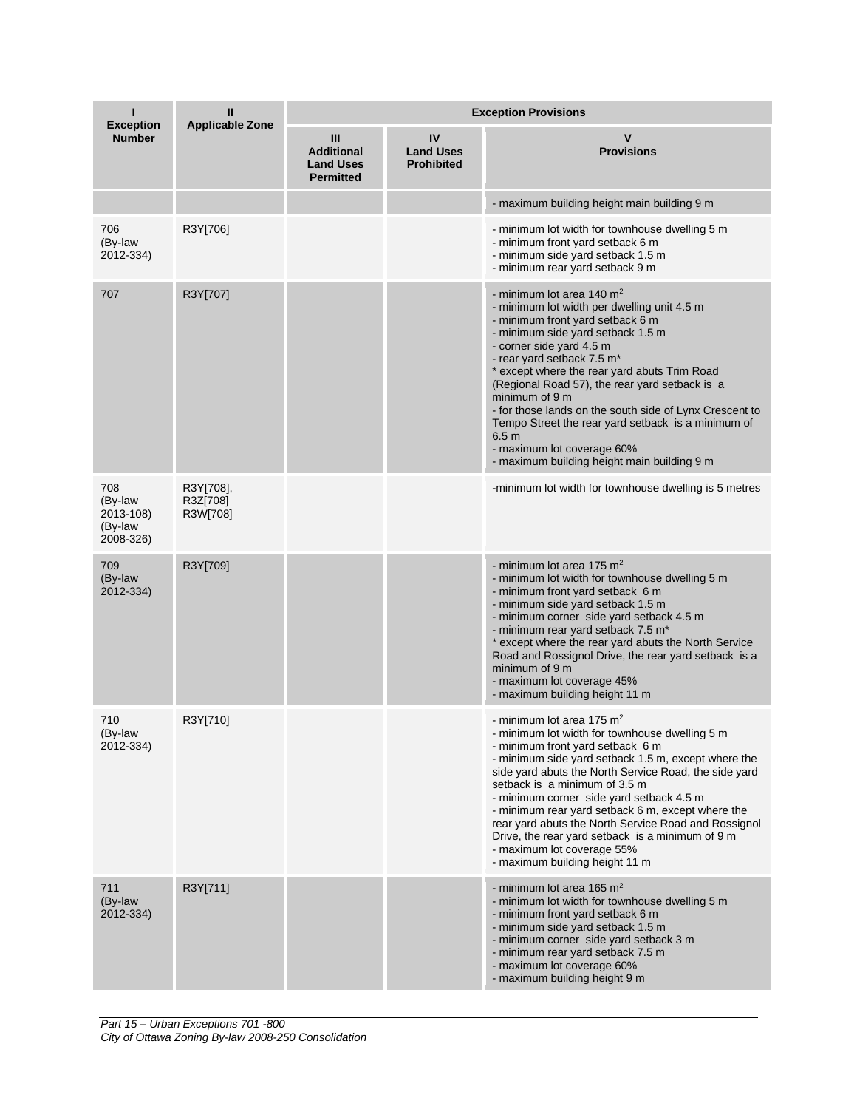| <b>Exception</b>                                    | Ш<br><b>Applicable Zone</b>       | <b>Exception Provisions</b>                                    |                                             |                                                                                                                                                                                                                                                                                                                                                                                                                                                                                                                                                               |  |
|-----------------------------------------------------|-----------------------------------|----------------------------------------------------------------|---------------------------------------------|---------------------------------------------------------------------------------------------------------------------------------------------------------------------------------------------------------------------------------------------------------------------------------------------------------------------------------------------------------------------------------------------------------------------------------------------------------------------------------------------------------------------------------------------------------------|--|
| <b>Number</b>                                       |                                   | Ш<br><b>Additional</b><br><b>Land Uses</b><br><b>Permitted</b> | IV<br><b>Land Uses</b><br><b>Prohibited</b> | <b>Provisions</b>                                                                                                                                                                                                                                                                                                                                                                                                                                                                                                                                             |  |
|                                                     |                                   |                                                                |                                             | - maximum building height main building 9 m                                                                                                                                                                                                                                                                                                                                                                                                                                                                                                                   |  |
| 706<br>(By-law<br>2012-334)                         | R3Y[706]                          |                                                                |                                             | - minimum lot width for townhouse dwelling 5 m<br>- minimum front yard setback 6 m<br>- minimum side yard setback 1.5 m<br>- minimum rear yard setback 9 m                                                                                                                                                                                                                                                                                                                                                                                                    |  |
| 707                                                 | R3Y[707]                          |                                                                |                                             | - minimum lot area 140 m <sup>2</sup><br>- minimum lot width per dwelling unit 4.5 m<br>- minimum front yard setback 6 m<br>- minimum side yard setback 1.5 m<br>- corner side yard 4.5 m<br>- rear yard setback 7.5 m*<br>* except where the rear yard abuts Trim Road<br>(Regional Road 57), the rear yard setback is a<br>minimum of 9 m<br>- for those lands on the south side of Lynx Crescent to<br>Tempo Street the rear yard setback is a minimum of<br>6.5 <sub>m</sub><br>- maximum lot coverage 60%<br>- maximum building height main building 9 m |  |
| 708<br>(By-law<br>2013-108)<br>(By-law<br>2008-326) | R3Y[708],<br>R3Z[708]<br>R3W[708] |                                                                |                                             | -minimum lot width for townhouse dwelling is 5 metres                                                                                                                                                                                                                                                                                                                                                                                                                                                                                                         |  |
| 709<br>(By-law<br>2012-334)                         | R3Y[709]                          |                                                                |                                             | - minimum lot area 175 $m2$<br>- minimum lot width for townhouse dwelling 5 m<br>- minimum front yard setback 6 m<br>- minimum side yard setback 1.5 m<br>- minimum corner side yard setback 4.5 m<br>- minimum rear yard setback 7.5 m*<br>* except where the rear yard abuts the North Service<br>Road and Rossignol Drive, the rear yard setback is a<br>minimum of 9 m<br>- maximum lot coverage 45%<br>- maximum building height 11 m                                                                                                                    |  |
| 710<br>(By-law<br>2012-334)                         | R3Y[710]                          |                                                                |                                             | - minimum lot area 175 m <sup>2</sup><br>- minimum lot width for townhouse dwelling 5 m<br>- minimum front yard setback 6 m<br>- minimum side yard setback 1.5 m, except where the<br>side yard abuts the North Service Road, the side yard<br>setback is a minimum of 3.5 m<br>- minimum corner side yard setback 4.5 m<br>- minimum rear yard setback 6 m, except where the<br>rear yard abuts the North Service Road and Rossignol<br>Drive, the rear yard setback is a minimum of 9 m<br>- maximum lot coverage 55%<br>- maximum building height 11 m     |  |
| 711<br>(By-law<br>2012-334)                         | R3Y[711]                          |                                                                |                                             | - minimum lot area 165 $m2$<br>- minimum lot width for townhouse dwelling 5 m<br>- minimum front yard setback 6 m<br>- minimum side yard setback 1.5 m<br>- minimum corner side yard setback 3 m<br>- minimum rear yard setback 7.5 m<br>- maximum lot coverage 60%<br>- maximum building height 9 m                                                                                                                                                                                                                                                          |  |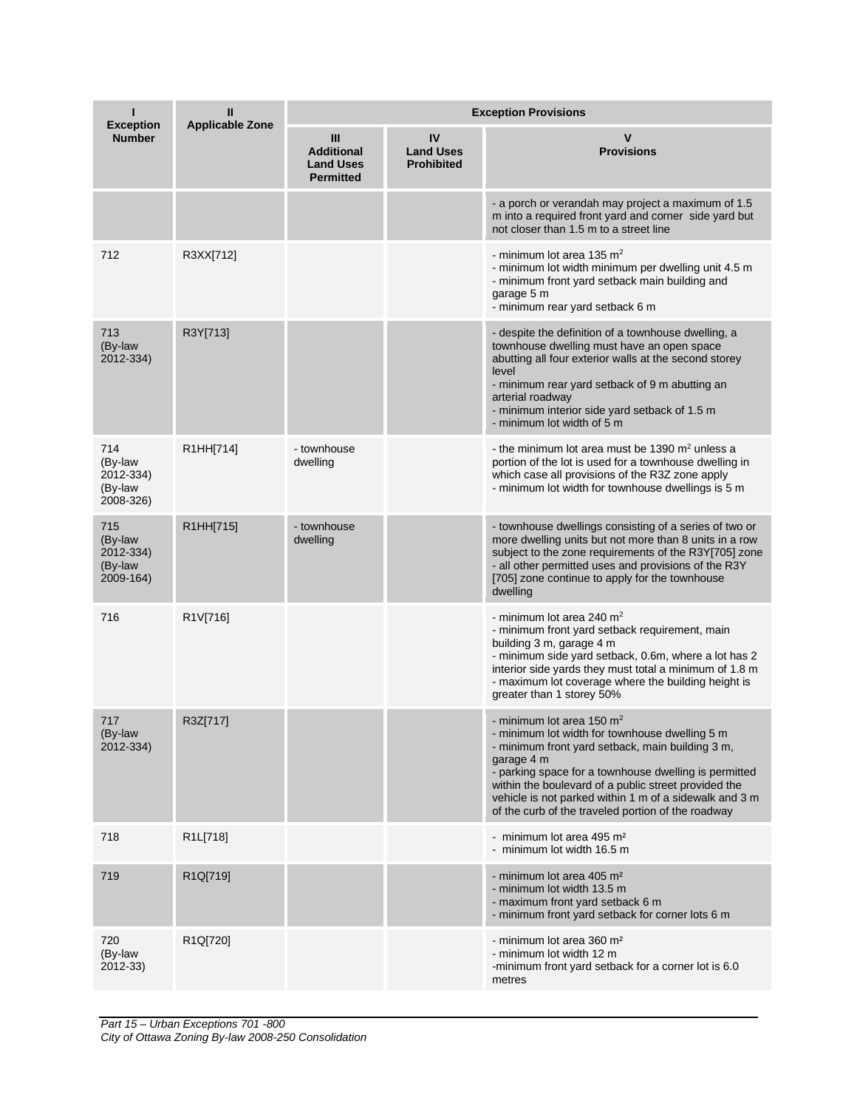| ı<br><b>Exception</b>                               | Ш<br><b>Applicable Zone</b> | <b>Exception Provisions</b>                                    |                                             |                                                                                                                                                                                                                                                                                                                                                                                  |  |
|-----------------------------------------------------|-----------------------------|----------------------------------------------------------------|---------------------------------------------|----------------------------------------------------------------------------------------------------------------------------------------------------------------------------------------------------------------------------------------------------------------------------------------------------------------------------------------------------------------------------------|--|
| <b>Number</b>                                       |                             | Ш<br><b>Additional</b><br><b>Land Uses</b><br><b>Permitted</b> | IV<br><b>Land Uses</b><br><b>Prohibited</b> | <b>Provisions</b>                                                                                                                                                                                                                                                                                                                                                                |  |
|                                                     |                             |                                                                |                                             | - a porch or verandah may project a maximum of 1.5<br>m into a required front yard and corner side yard but<br>not closer than 1.5 m to a street line                                                                                                                                                                                                                            |  |
| 712                                                 | R3XX[712]                   |                                                                |                                             | - minimum lot area 135 $m2$<br>- minimum lot width minimum per dwelling unit 4.5 m<br>- minimum front yard setback main building and<br>garage 5 m<br>- minimum rear yard setback 6 m                                                                                                                                                                                            |  |
| 713<br>(By-law<br>2012-334)                         | R3Y[713]                    |                                                                |                                             | - despite the definition of a townhouse dwelling, a<br>townhouse dwelling must have an open space<br>abutting all four exterior walls at the second storey<br>level<br>- minimum rear yard setback of 9 m abutting an<br>arterial roadway<br>- minimum interior side yard setback of 1.5 m<br>- minimum lot width of 5 m                                                         |  |
| 714<br>(By-law<br>2012-334)<br>(By-law<br>2008-326) | R1HH[714]                   | - townhouse<br>dwelling                                        |                                             | - the minimum lot area must be 1390 $m2$ unless a<br>portion of the lot is used for a townhouse dwelling in<br>which case all provisions of the R3Z zone apply<br>- minimum lot width for townhouse dwellings is 5 m                                                                                                                                                             |  |
| 715<br>(By-law<br>2012-334)<br>(By-law<br>2009-164) | R1HH[715]                   | - townhouse<br>dwelling                                        |                                             | - townhouse dwellings consisting of a series of two or<br>more dwelling units but not more than 8 units in a row<br>subject to the zone requirements of the R3Y[705] zone<br>- all other permitted uses and provisions of the R3Y<br>[705] zone continue to apply for the townhouse<br>dwelling                                                                                  |  |
| 716                                                 | R1V[716]                    |                                                                |                                             | - minimum lot area 240 m <sup>2</sup><br>- minimum front yard setback requirement, main<br>building 3 m, garage 4 m<br>- minimum side yard setback, 0.6m, where a lot has 2<br>interior side yards they must total a minimum of 1.8 m<br>- maximum lot coverage where the building height is<br>greater than 1 storey 50%                                                        |  |
| 717<br>(By-law<br>2012-334)                         | R3Z[717]                    |                                                                |                                             | - minimum lot area 150 $m2$<br>- minimum lot width for townhouse dwelling 5 m<br>- minimum front yard setback, main building 3 m,<br>garage 4 m<br>- parking space for a townhouse dwelling is permitted<br>within the boulevard of a public street provided the<br>vehicle is not parked within 1 m of a sidewalk and 3 m<br>of the curb of the traveled portion of the roadway |  |
| 718                                                 | R1L[718]                    |                                                                |                                             | - minimum lot area 495 m <sup>2</sup><br>- minimum lot width 16.5 m                                                                                                                                                                                                                                                                                                              |  |
| 719                                                 | R1Q[719]                    |                                                                |                                             | - minimum lot area 405 m <sup>2</sup><br>- minimum lot width 13.5 m<br>- maximum front yard setback 6 m<br>- minimum front yard setback for corner lots 6 m                                                                                                                                                                                                                      |  |
| 720<br>(By-law<br>2012-33)                          | R1Q[720]                    |                                                                |                                             | - minimum lot area 360 m <sup>2</sup><br>- minimum lot width 12 m<br>-minimum front yard setback for a corner lot is 6.0<br>metres                                                                                                                                                                                                                                               |  |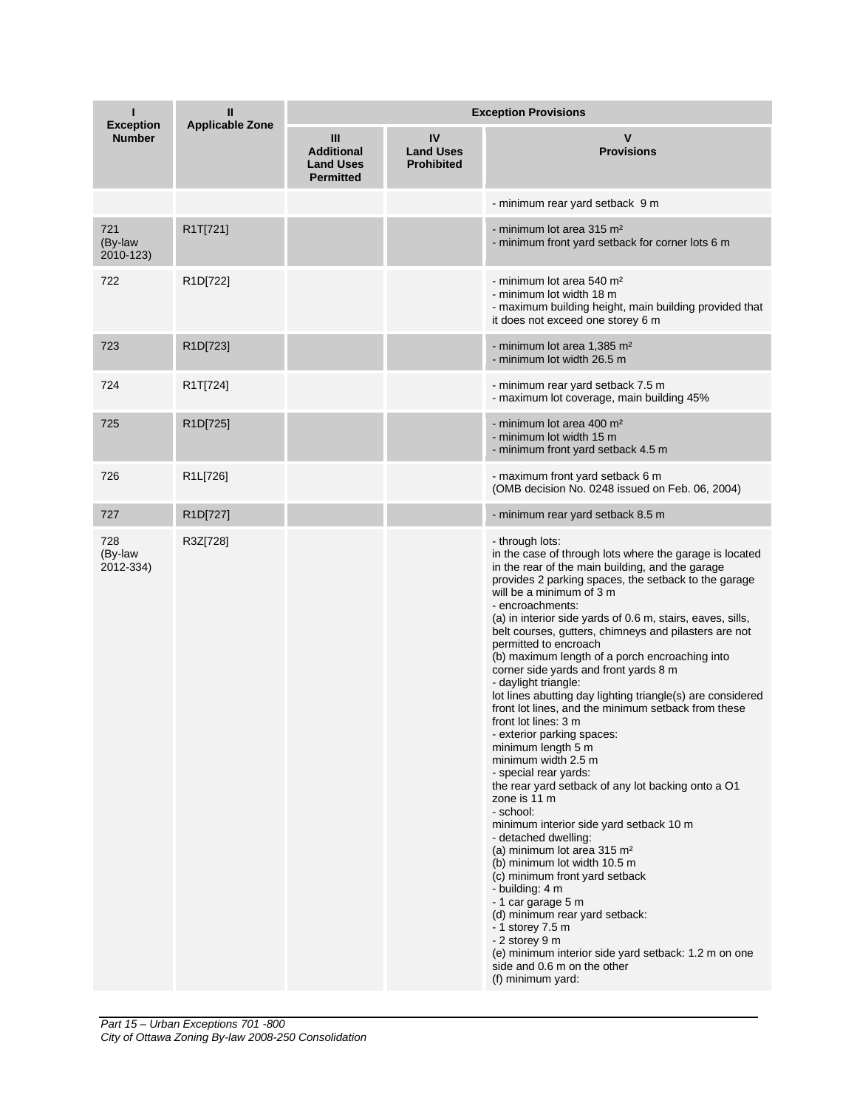| ı<br><b>Exception</b>       | Ш<br><b>Applicable Zone</b> | <b>Exception Provisions</b>                                    |                                             |                                                                                                                                                                                                                                                                                                                                                                                                                                                                                                                                                                                                                                                                                                                                                                                                                                                                                                                                                                                                                                                                                                                                                                                                                                                            |  |
|-----------------------------|-----------------------------|----------------------------------------------------------------|---------------------------------------------|------------------------------------------------------------------------------------------------------------------------------------------------------------------------------------------------------------------------------------------------------------------------------------------------------------------------------------------------------------------------------------------------------------------------------------------------------------------------------------------------------------------------------------------------------------------------------------------------------------------------------------------------------------------------------------------------------------------------------------------------------------------------------------------------------------------------------------------------------------------------------------------------------------------------------------------------------------------------------------------------------------------------------------------------------------------------------------------------------------------------------------------------------------------------------------------------------------------------------------------------------------|--|
| <b>Number</b>               |                             | Ш<br><b>Additional</b><br><b>Land Uses</b><br><b>Permitted</b> | IV<br><b>Land Uses</b><br><b>Prohibited</b> | <b>Provisions</b>                                                                                                                                                                                                                                                                                                                                                                                                                                                                                                                                                                                                                                                                                                                                                                                                                                                                                                                                                                                                                                                                                                                                                                                                                                          |  |
|                             |                             |                                                                |                                             | - minimum rear yard setback 9 m                                                                                                                                                                                                                                                                                                                                                                                                                                                                                                                                                                                                                                                                                                                                                                                                                                                                                                                                                                                                                                                                                                                                                                                                                            |  |
| 721<br>(By-law<br>2010-123) | R1T[721]                    |                                                                |                                             | - minimum lot area 315 m <sup>2</sup><br>- minimum front yard setback for corner lots 6 m                                                                                                                                                                                                                                                                                                                                                                                                                                                                                                                                                                                                                                                                                                                                                                                                                                                                                                                                                                                                                                                                                                                                                                  |  |
| 722                         | R <sub>1</sub> D[722]       |                                                                |                                             | - minimum lot area 540 m <sup>2</sup><br>- minimum lot width 18 m<br>- maximum building height, main building provided that<br>it does not exceed one storey 6 m                                                                                                                                                                                                                                                                                                                                                                                                                                                                                                                                                                                                                                                                                                                                                                                                                                                                                                                                                                                                                                                                                           |  |
| 723                         | R1D[723]                    |                                                                |                                             | - minimum lot area 1,385 m <sup>2</sup><br>- minimum lot width 26.5 m                                                                                                                                                                                                                                                                                                                                                                                                                                                                                                                                                                                                                                                                                                                                                                                                                                                                                                                                                                                                                                                                                                                                                                                      |  |
| 724                         | R1T[724]                    |                                                                |                                             | - minimum rear yard setback 7.5 m<br>- maximum lot coverage, main building 45%                                                                                                                                                                                                                                                                                                                                                                                                                                                                                                                                                                                                                                                                                                                                                                                                                                                                                                                                                                                                                                                                                                                                                                             |  |
| 725                         | R1D[725]                    |                                                                |                                             | - minimum lot area 400 m <sup>2</sup><br>- minimum lot width 15 m<br>- minimum front yard setback 4.5 m                                                                                                                                                                                                                                                                                                                                                                                                                                                                                                                                                                                                                                                                                                                                                                                                                                                                                                                                                                                                                                                                                                                                                    |  |
| 726                         | R1L[726]                    |                                                                |                                             | - maximum front yard setback 6 m<br>(OMB decision No. 0248 issued on Feb. 06, 2004)                                                                                                                                                                                                                                                                                                                                                                                                                                                                                                                                                                                                                                                                                                                                                                                                                                                                                                                                                                                                                                                                                                                                                                        |  |
| 727                         | R1D[727]                    |                                                                |                                             | - minimum rear yard setback 8.5 m                                                                                                                                                                                                                                                                                                                                                                                                                                                                                                                                                                                                                                                                                                                                                                                                                                                                                                                                                                                                                                                                                                                                                                                                                          |  |
| 728<br>(By-law<br>2012-334) | R3Z[728]                    |                                                                |                                             | - through lots:<br>in the case of through lots where the garage is located<br>in the rear of the main building, and the garage<br>provides 2 parking spaces, the setback to the garage<br>will be a minimum of 3 m<br>- encroachments:<br>(a) in interior side yards of 0.6 m, stairs, eaves, sills,<br>belt courses, gutters, chimneys and pilasters are not<br>permitted to encroach<br>(b) maximum length of a porch encroaching into<br>corner side yards and front yards 8 m<br>- daylight triangle:<br>lot lines abutting day lighting triangle(s) are considered<br>front lot lines, and the minimum setback from these<br>front lot lines: 3 m<br>- exterior parking spaces:<br>minimum length 5 m<br>minimum width 2.5 m<br>- special rear yards:<br>the rear yard setback of any lot backing onto a O1<br>zone is 11 m<br>- school:<br>minimum interior side yard setback 10 m<br>- detached dwelling:<br>(a) minimum lot area 315 m <sup>2</sup><br>(b) minimum lot width 10.5 m<br>(c) minimum front yard setback<br>- building: 4 m<br>- 1 car garage 5 m<br>(d) minimum rear yard setback:<br>- 1 storey 7.5 m<br>- 2 storey 9 m<br>(e) minimum interior side yard setback: 1.2 m on one<br>side and 0.6 m on the other<br>(f) minimum yard: |  |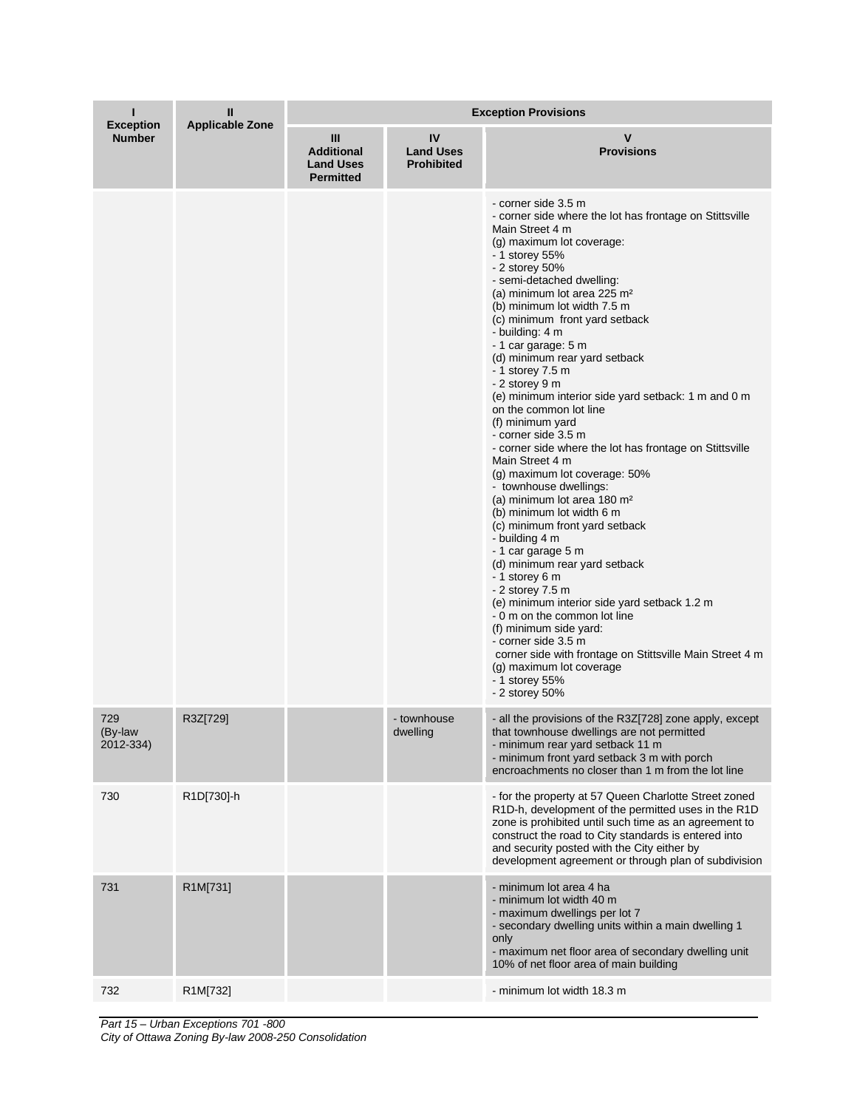| ı<br><b>Exception</b>       | Ш<br><b>Applicable Zone</b> | <b>Exception Provisions</b>                                    |                                             |                                                                                                                                                                                                                                                                                                                                                                                                                                                                                                                                                                                                                                                                                                                                                                                                                                                                                                                                                                                                                                                                                                                                                                                               |  |
|-----------------------------|-----------------------------|----------------------------------------------------------------|---------------------------------------------|-----------------------------------------------------------------------------------------------------------------------------------------------------------------------------------------------------------------------------------------------------------------------------------------------------------------------------------------------------------------------------------------------------------------------------------------------------------------------------------------------------------------------------------------------------------------------------------------------------------------------------------------------------------------------------------------------------------------------------------------------------------------------------------------------------------------------------------------------------------------------------------------------------------------------------------------------------------------------------------------------------------------------------------------------------------------------------------------------------------------------------------------------------------------------------------------------|--|
| <b>Number</b>               |                             | Ш<br><b>Additional</b><br><b>Land Uses</b><br><b>Permitted</b> | IV<br><b>Land Uses</b><br><b>Prohibited</b> | v<br><b>Provisions</b>                                                                                                                                                                                                                                                                                                                                                                                                                                                                                                                                                                                                                                                                                                                                                                                                                                                                                                                                                                                                                                                                                                                                                                        |  |
|                             |                             |                                                                |                                             | - corner side 3.5 m<br>- corner side where the lot has frontage on Stittsville<br>Main Street 4 m<br>(g) maximum lot coverage:<br>- 1 storey 55%<br>- 2 storey 50%<br>- semi-detached dwelling:<br>(a) minimum lot area 225 m <sup>2</sup><br>(b) minimum lot width 7.5 m<br>(c) minimum front yard setback<br>- building: 4 m<br>- 1 car garage: 5 m<br>(d) minimum rear yard setback<br>- 1 storey 7.5 m<br>- 2 storey 9 m<br>(e) minimum interior side yard setback: 1 m and 0 m<br>on the common lot line<br>(f) minimum yard<br>- corner side 3.5 m<br>- corner side where the lot has frontage on Stittsville<br>Main Street 4 m<br>$(g)$ maximum lot coverage: 50%<br>- townhouse dwellings:<br>(a) minimum lot area 180 m <sup>2</sup><br>(b) minimum lot width 6 m<br>(c) minimum front yard setback<br>- building 4 m<br>- 1 car garage 5 m<br>(d) minimum rear yard setback<br>- 1 storey 6 m<br>$-2$ storey $7.5$ m<br>(e) minimum interior side yard setback 1.2 m<br>- 0 m on the common lot line<br>(f) minimum side yard:<br>- corner side 3.5 m<br>corner side with frontage on Stittsville Main Street 4 m<br>(g) maximum lot coverage<br>- 1 storey 55%<br>$-2$ storey 50% |  |
| 729<br>(By-law<br>2012-334) | R3Z[729]                    |                                                                | - townhouse<br>dwelling                     | - all the provisions of the R3Z[728] zone apply, except<br>that townhouse dwellings are not permitted<br>- minimum rear yard setback 11 m<br>- minimum front yard setback 3 m with porch<br>encroachments no closer than 1 m from the lot line                                                                                                                                                                                                                                                                                                                                                                                                                                                                                                                                                                                                                                                                                                                                                                                                                                                                                                                                                |  |
| 730                         | R1D[730]-h                  |                                                                |                                             | - for the property at 57 Queen Charlotte Street zoned<br>R1D-h, development of the permitted uses in the R1D<br>zone is prohibited until such time as an agreement to<br>construct the road to City standards is entered into<br>and security posted with the City either by<br>development agreement or through plan of subdivision                                                                                                                                                                                                                                                                                                                                                                                                                                                                                                                                                                                                                                                                                                                                                                                                                                                          |  |
| 731                         | R1M[731]                    |                                                                |                                             | - minimum lot area 4 ha<br>- minimum lot width 40 m<br>- maximum dwellings per lot 7<br>- secondary dwelling units within a main dwelling 1<br>only<br>- maximum net floor area of secondary dwelling unit<br>10% of net floor area of main building                                                                                                                                                                                                                                                                                                                                                                                                                                                                                                                                                                                                                                                                                                                                                                                                                                                                                                                                          |  |
| 732                         | R1M[732]                    |                                                                |                                             | - minimum lot width 18.3 m                                                                                                                                                                                                                                                                                                                                                                                                                                                                                                                                                                                                                                                                                                                                                                                                                                                                                                                                                                                                                                                                                                                                                                    |  |

*Part 15 – Urban Exceptions 701 -800 City of Ottawa Zoning By-law 2008-250 Consolidation*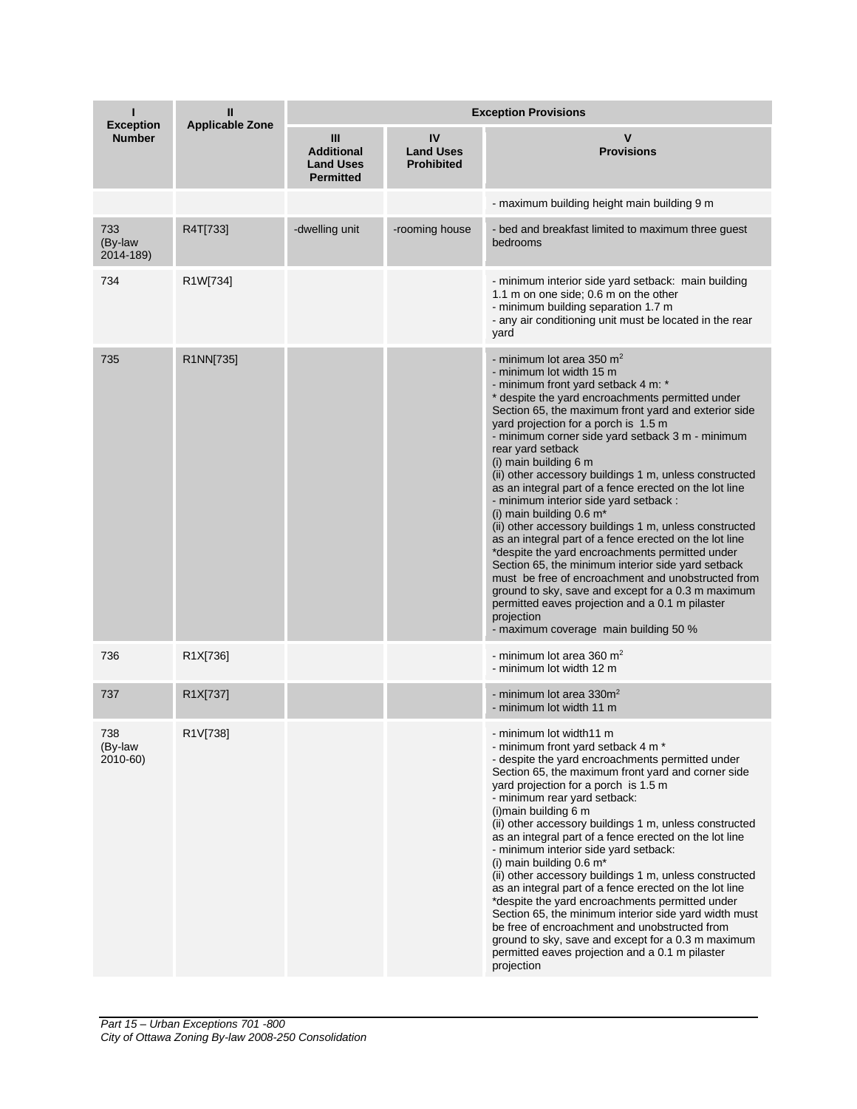| <b>Exception</b>            | Ш<br><b>Applicable Zone</b> | <b>Exception Provisions</b>                                    |                                             |                                                                                                                                                                                                                                                                                                                                                                                                                                                                                                                                                                                                                                                                                                                                                                                                                                                                                                                                                                                                               |  |
|-----------------------------|-----------------------------|----------------------------------------------------------------|---------------------------------------------|---------------------------------------------------------------------------------------------------------------------------------------------------------------------------------------------------------------------------------------------------------------------------------------------------------------------------------------------------------------------------------------------------------------------------------------------------------------------------------------------------------------------------------------------------------------------------------------------------------------------------------------------------------------------------------------------------------------------------------------------------------------------------------------------------------------------------------------------------------------------------------------------------------------------------------------------------------------------------------------------------------------|--|
| <b>Number</b>               |                             | Ш<br><b>Additional</b><br><b>Land Uses</b><br><b>Permitted</b> | IV<br><b>Land Uses</b><br><b>Prohibited</b> | <b>Provisions</b>                                                                                                                                                                                                                                                                                                                                                                                                                                                                                                                                                                                                                                                                                                                                                                                                                                                                                                                                                                                             |  |
|                             |                             |                                                                |                                             | - maximum building height main building 9 m                                                                                                                                                                                                                                                                                                                                                                                                                                                                                                                                                                                                                                                                                                                                                                                                                                                                                                                                                                   |  |
| 733<br>(By-law<br>2014-189) | R4T[733]                    | -dwelling unit                                                 | -rooming house                              | - bed and breakfast limited to maximum three guest<br>bedrooms                                                                                                                                                                                                                                                                                                                                                                                                                                                                                                                                                                                                                                                                                                                                                                                                                                                                                                                                                |  |
| 734                         | R1W[734]                    |                                                                |                                             | - minimum interior side yard setback: main building<br>1.1 m on one side; 0.6 m on the other<br>- minimum building separation 1.7 m<br>- any air conditioning unit must be located in the rear<br>yard                                                                                                                                                                                                                                                                                                                                                                                                                                                                                                                                                                                                                                                                                                                                                                                                        |  |
| 735                         | R1NN[735]                   |                                                                |                                             | - minimum lot area 350 $m2$<br>- minimum lot width 15 m<br>- minimum front yard setback 4 m: *<br>* despite the yard encroachments permitted under<br>Section 65, the maximum front yard and exterior side<br>yard projection for a porch is 1.5 m<br>- minimum corner side yard setback 3 m - minimum<br>rear yard setback<br>(i) main building 6 m<br>(ii) other accessory buildings 1 m, unless constructed<br>as an integral part of a fence erected on the lot line<br>- minimum interior side yard setback :<br>(i) main building 0.6 m <sup>*</sup><br>(ii) other accessory buildings 1 m, unless constructed<br>as an integral part of a fence erected on the lot line<br>*despite the yard encroachments permitted under<br>Section 65, the minimum interior side yard setback<br>must be free of encroachment and unobstructed from<br>ground to sky, save and except for a 0.3 m maximum<br>permitted eaves projection and a 0.1 m pilaster<br>projection<br>- maximum coverage main building 50 % |  |
| 736                         | R1X[736]                    |                                                                |                                             | - minimum lot area 360 $m2$<br>- minimum lot width 12 m                                                                                                                                                                                                                                                                                                                                                                                                                                                                                                                                                                                                                                                                                                                                                                                                                                                                                                                                                       |  |
| 737                         | R1X[737]                    |                                                                |                                             | - minimum lot area 330m <sup>2</sup><br>- minimum lot width 11 m                                                                                                                                                                                                                                                                                                                                                                                                                                                                                                                                                                                                                                                                                                                                                                                                                                                                                                                                              |  |
| 738<br>(By-law<br>2010-60)  | R1V[738]                    |                                                                |                                             | - minimum lot width11 m<br>- minimum front yard setback 4 m *<br>- despite the yard encroachments permitted under<br>Section 65, the maximum front yard and corner side<br>yard projection for a porch is 1.5 m<br>- minimum rear yard setback:<br>(i) main building 6 m<br>(ii) other accessory buildings 1 m, unless constructed<br>as an integral part of a fence erected on the lot line<br>- minimum interior side yard setback:<br>(i) main building $0.6 \text{ m}^*$<br>(ii) other accessory buildings 1 m, unless constructed<br>as an integral part of a fence erected on the lot line<br>*despite the yard encroachments permitted under<br>Section 65, the minimum interior side yard width must<br>be free of encroachment and unobstructed from<br>ground to sky, save and except for a 0.3 m maximum<br>permitted eaves projection and a 0.1 m pilaster<br>projection                                                                                                                          |  |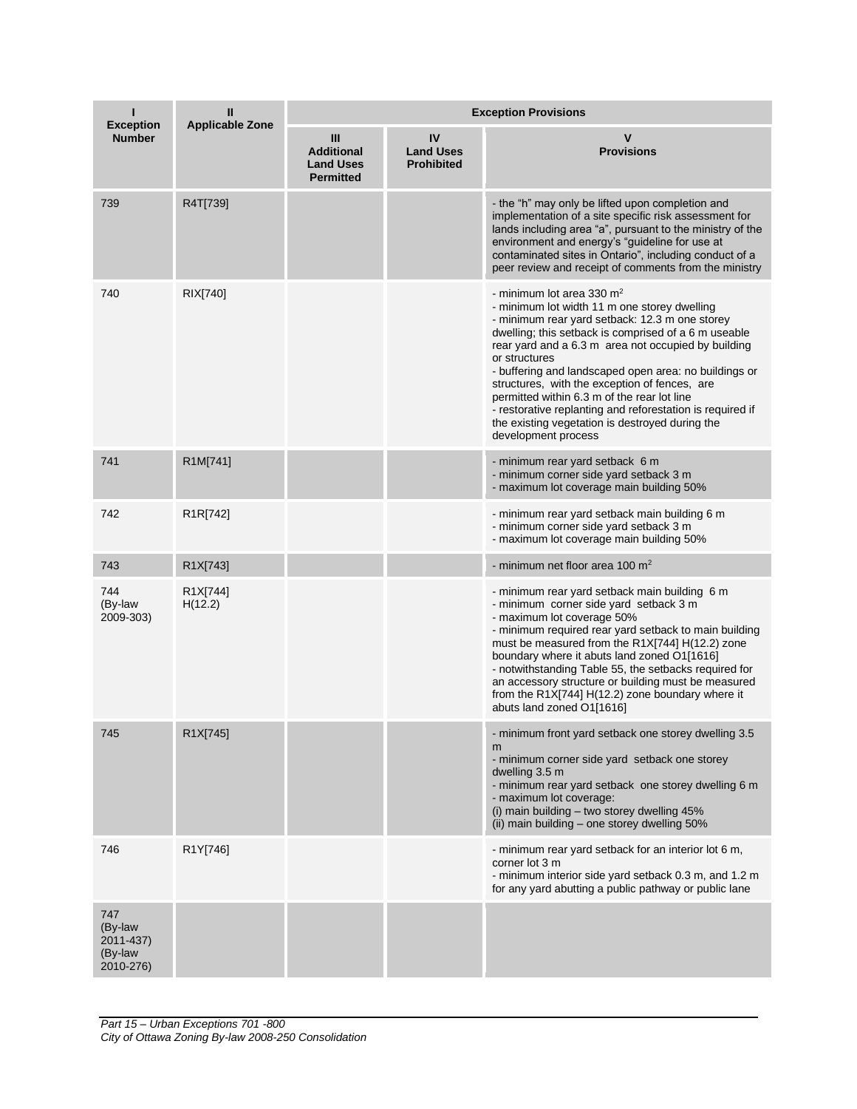| ı<br><b>Exception</b>                               | Ш<br><b>Applicable Zone</b>       | <b>Exception Provisions</b>                                    |                                             |                                                                                                                                                                                                                                                                                                                                                                                                                                                                                                                                                                         |  |
|-----------------------------------------------------|-----------------------------------|----------------------------------------------------------------|---------------------------------------------|-------------------------------------------------------------------------------------------------------------------------------------------------------------------------------------------------------------------------------------------------------------------------------------------------------------------------------------------------------------------------------------------------------------------------------------------------------------------------------------------------------------------------------------------------------------------------|--|
| <b>Number</b>                                       |                                   | Ш<br><b>Additional</b><br><b>Land Uses</b><br><b>Permitted</b> | IV<br><b>Land Uses</b><br><b>Prohibited</b> | <b>Provisions</b>                                                                                                                                                                                                                                                                                                                                                                                                                                                                                                                                                       |  |
| 739                                                 | R4T[739]                          |                                                                |                                             | - the "h" may only be lifted upon completion and<br>implementation of a site specific risk assessment for<br>lands including area "a", pursuant to the ministry of the<br>environment and energy's "guideline for use at<br>contaminated sites in Ontario", including conduct of a<br>peer review and receipt of comments from the ministry                                                                                                                                                                                                                             |  |
| 740                                                 | RIX[740]                          |                                                                |                                             | - minimum lot area 330 m <sup>2</sup><br>- minimum lot width 11 m one storey dwelling<br>- minimum rear yard setback: 12.3 m one storey<br>dwelling; this setback is comprised of a 6 m useable<br>rear yard and a 6.3 m area not occupied by building<br>or structures<br>- buffering and landscaped open area: no buildings or<br>structures, with the exception of fences, are<br>permitted within 6.3 m of the rear lot line<br>- restorative replanting and reforestation is required if<br>the existing vegetation is destroyed during the<br>development process |  |
| 741                                                 | R1M[741]                          |                                                                |                                             | - minimum rear yard setback 6 m<br>- minimum corner side yard setback 3 m<br>- maximum lot coverage main building 50%                                                                                                                                                                                                                                                                                                                                                                                                                                                   |  |
| 742                                                 | R <sub>1</sub> R <sub>[742]</sub> |                                                                |                                             | - minimum rear yard setback main building 6 m<br>- minimum corner side yard setback 3 m<br>- maximum lot coverage main building 50%                                                                                                                                                                                                                                                                                                                                                                                                                                     |  |
| 743                                                 | R1X[743]                          |                                                                |                                             | - minimum net floor area 100 $m2$                                                                                                                                                                                                                                                                                                                                                                                                                                                                                                                                       |  |
| 744<br>(By-law<br>2009-303)                         | R1X[744]<br>H(12.2)               |                                                                |                                             | - minimum rear yard setback main building 6 m<br>- minimum corner side yard setback 3 m<br>- maximum lot coverage 50%<br>- minimum required rear yard setback to main building<br>must be measured from the R1X[744] H(12.2) zone<br>boundary where it abuts land zoned O1[1616]<br>- notwithstanding Table 55, the setbacks required for<br>an accessory structure or building must be measured<br>from the R1X[744] H(12.2) zone boundary where it<br>abuts land zoned O1[1616]                                                                                       |  |
| 745                                                 | R1X[745]                          |                                                                |                                             | - minimum front yard setback one storey dwelling 3.5<br>m<br>- minimum corner side yard setback one storey<br>dwelling 3.5 m<br>- minimum rear yard setback one storey dwelling 6 m<br>- maximum lot coverage:<br>(i) main building - two storey dwelling 45%<br>(ii) main building - one storey dwelling 50%                                                                                                                                                                                                                                                           |  |
| 746                                                 | R1Y[746]                          |                                                                |                                             | - minimum rear yard setback for an interior lot 6 m,<br>corner lot 3 m<br>- minimum interior side yard setback 0.3 m, and 1.2 m<br>for any yard abutting a public pathway or public lane                                                                                                                                                                                                                                                                                                                                                                                |  |
| 747<br>(By-law<br>2011-437)<br>(By-law<br>2010-276) |                                   |                                                                |                                             |                                                                                                                                                                                                                                                                                                                                                                                                                                                                                                                                                                         |  |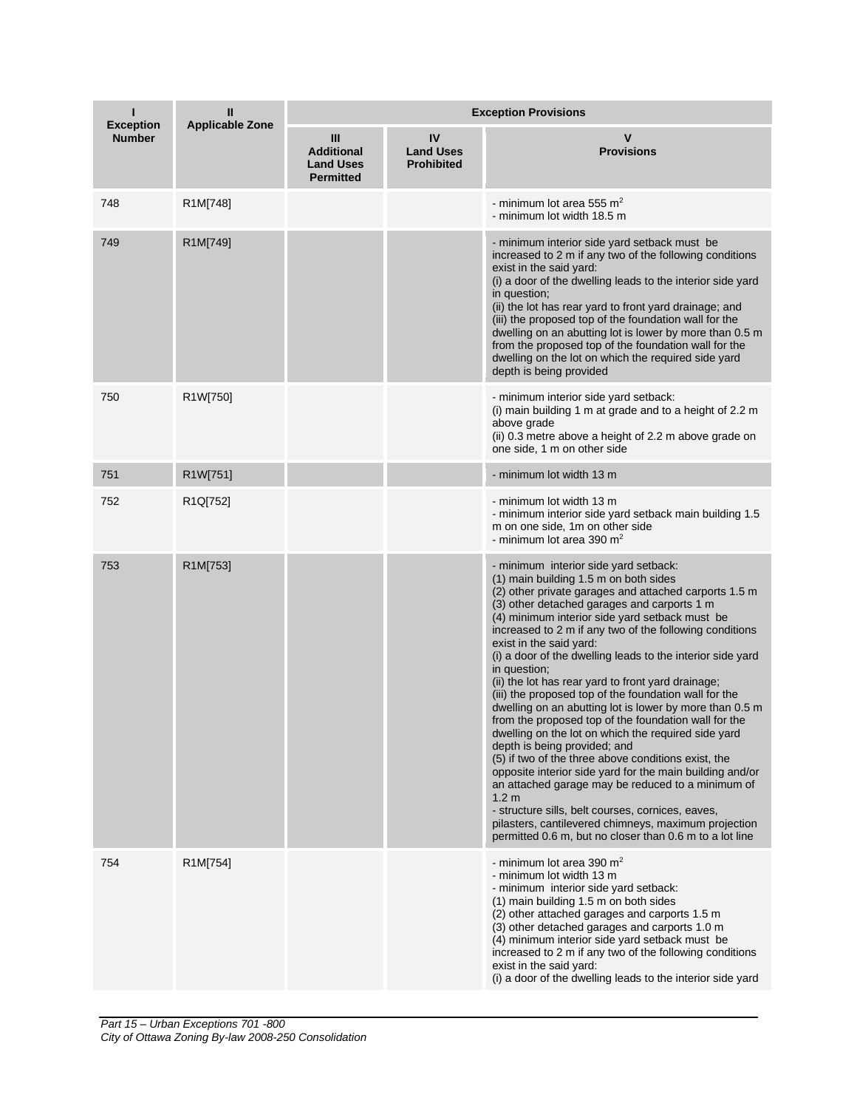| <b>Exception</b> | Ш<br><b>Applicable Zone</b> | <b>Exception Provisions</b>                                    |                                             |                                                                                                                                                                                                                                                                                                                                                                                                                                                                                                                                                                                                                                                                                                                                                                                                                                                                                                                                                                                                                                                                                                           |  |
|------------------|-----------------------------|----------------------------------------------------------------|---------------------------------------------|-----------------------------------------------------------------------------------------------------------------------------------------------------------------------------------------------------------------------------------------------------------------------------------------------------------------------------------------------------------------------------------------------------------------------------------------------------------------------------------------------------------------------------------------------------------------------------------------------------------------------------------------------------------------------------------------------------------------------------------------------------------------------------------------------------------------------------------------------------------------------------------------------------------------------------------------------------------------------------------------------------------------------------------------------------------------------------------------------------------|--|
| <b>Number</b>    |                             | Ш<br><b>Additional</b><br><b>Land Uses</b><br><b>Permitted</b> | IV<br><b>Land Uses</b><br><b>Prohibited</b> | <b>Provisions</b>                                                                                                                                                                                                                                                                                                                                                                                                                                                                                                                                                                                                                                                                                                                                                                                                                                                                                                                                                                                                                                                                                         |  |
| 748              | R1M[748]                    |                                                                |                                             | - minimum lot area 555 m <sup>2</sup><br>- minimum lot width 18.5 m                                                                                                                                                                                                                                                                                                                                                                                                                                                                                                                                                                                                                                                                                                                                                                                                                                                                                                                                                                                                                                       |  |
| 749              | R1M[749]                    |                                                                |                                             | - minimum interior side yard setback must be<br>increased to 2 m if any two of the following conditions<br>exist in the said yard:<br>(i) a door of the dwelling leads to the interior side yard<br>in question;<br>(ii) the lot has rear yard to front yard drainage; and<br>(iii) the proposed top of the foundation wall for the<br>dwelling on an abutting lot is lower by more than 0.5 m<br>from the proposed top of the foundation wall for the<br>dwelling on the lot on which the required side yard<br>depth is being provided                                                                                                                                                                                                                                                                                                                                                                                                                                                                                                                                                                  |  |
| 750              | R1W[750]                    |                                                                |                                             | - minimum interior side yard setback:<br>(i) main building 1 m at grade and to a height of 2.2 m<br>above grade<br>(ii) 0.3 metre above a height of 2.2 m above grade on<br>one side, 1 m on other side                                                                                                                                                                                                                                                                                                                                                                                                                                                                                                                                                                                                                                                                                                                                                                                                                                                                                                   |  |
| 751              | R1W[751]                    |                                                                |                                             | - minimum lot width 13 m                                                                                                                                                                                                                                                                                                                                                                                                                                                                                                                                                                                                                                                                                                                                                                                                                                                                                                                                                                                                                                                                                  |  |
| 752              | R1Q[752]                    |                                                                |                                             | - minimum lot width 13 m<br>- minimum interior side yard setback main building 1.5<br>m on one side, 1m on other side<br>- minimum lot area 390 m <sup>2</sup>                                                                                                                                                                                                                                                                                                                                                                                                                                                                                                                                                                                                                                                                                                                                                                                                                                                                                                                                            |  |
| 753              | R1M[753]                    |                                                                |                                             | - minimum interior side yard setback:<br>(1) main building 1.5 m on both sides<br>(2) other private garages and attached carports 1.5 m<br>(3) other detached garages and carports 1 m<br>(4) minimum interior side yard setback must be<br>increased to 2 m if any two of the following conditions<br>exist in the said yard:<br>(i) a door of the dwelling leads to the interior side yard<br>in question;<br>(ii) the lot has rear yard to front yard drainage;<br>(iii) the proposed top of the foundation wall for the<br>dwelling on an abutting lot is lower by more than 0.5 m<br>from the proposed top of the foundation wall for the<br>dwelling on the lot on which the required side yard<br>depth is being provided; and<br>(5) if two of the three above conditions exist, the<br>opposite interior side yard for the main building and/or<br>an attached garage may be reduced to a minimum of<br>1.2 <sub>m</sub><br>- structure sills, belt courses, cornices, eaves,<br>pilasters, cantilevered chimneys, maximum projection<br>permitted 0.6 m, but no closer than 0.6 m to a lot line |  |
| 754              | R1M[754]                    |                                                                |                                             | - minimum lot area 390 m <sup>2</sup><br>- minimum lot width 13 m<br>- minimum interior side yard setback:<br>(1) main building 1.5 m on both sides<br>(2) other attached garages and carports 1.5 m<br>(3) other detached garages and carports 1.0 m<br>(4) minimum interior side yard setback must be<br>increased to 2 m if any two of the following conditions<br>exist in the said yard:<br>(i) a door of the dwelling leads to the interior side yard                                                                                                                                                                                                                                                                                                                                                                                                                                                                                                                                                                                                                                               |  |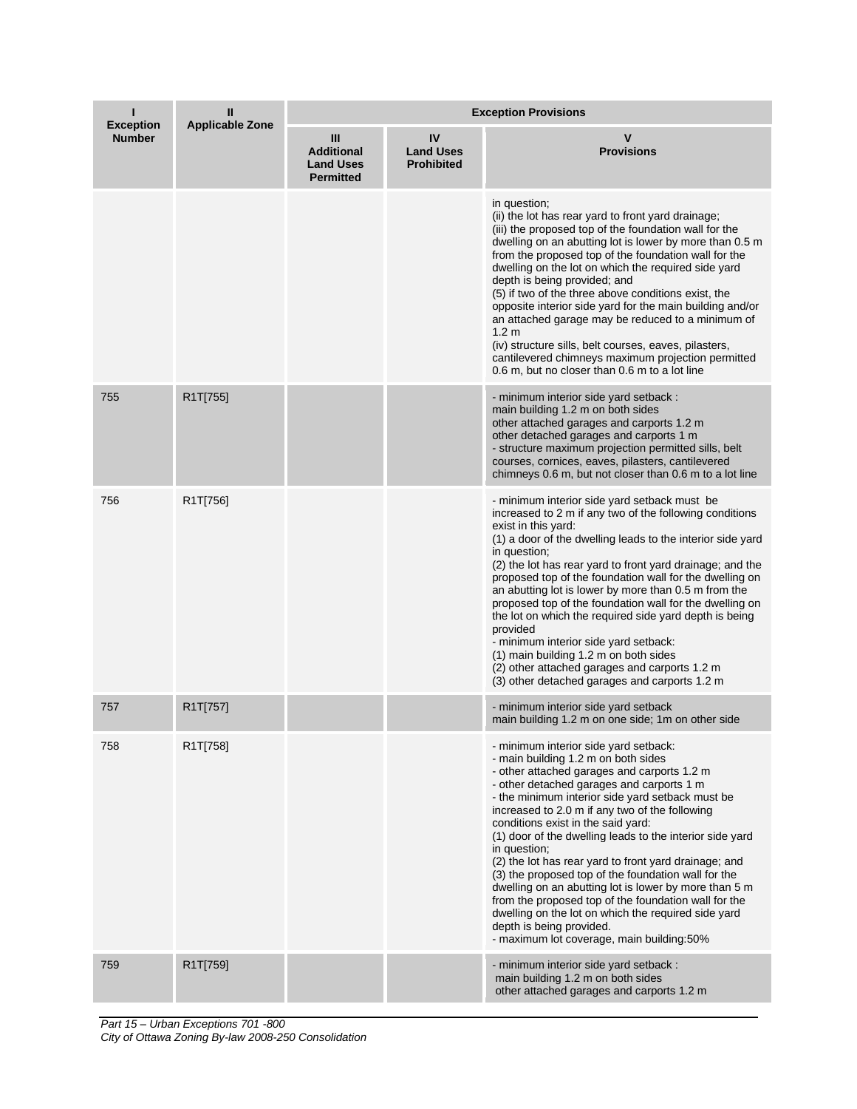| ı<br><b>Exception</b> | Ш<br><b>Applicable Zone</b> | <b>Exception Provisions</b>                                    |                                             |                                                                                                                                                                                                                                                                                                                                                                                                                                                                                                                                                                                                                                                                                                                                                                   |  |
|-----------------------|-----------------------------|----------------------------------------------------------------|---------------------------------------------|-------------------------------------------------------------------------------------------------------------------------------------------------------------------------------------------------------------------------------------------------------------------------------------------------------------------------------------------------------------------------------------------------------------------------------------------------------------------------------------------------------------------------------------------------------------------------------------------------------------------------------------------------------------------------------------------------------------------------------------------------------------------|--|
| <b>Number</b>         |                             | Ш<br><b>Additional</b><br><b>Land Uses</b><br><b>Permitted</b> | IV<br><b>Land Uses</b><br><b>Prohibited</b> | <b>Provisions</b>                                                                                                                                                                                                                                                                                                                                                                                                                                                                                                                                                                                                                                                                                                                                                 |  |
|                       |                             |                                                                |                                             | in question;<br>(ii) the lot has rear yard to front yard drainage;<br>(iii) the proposed top of the foundation wall for the<br>dwelling on an abutting lot is lower by more than 0.5 m<br>from the proposed top of the foundation wall for the<br>dwelling on the lot on which the required side yard<br>depth is being provided; and<br>(5) if two of the three above conditions exist, the<br>opposite interior side yard for the main building and/or<br>an attached garage may be reduced to a minimum of<br>1.2 <sub>m</sub><br>(iv) structure sills, belt courses, eaves, pilasters,<br>cantilevered chimneys maximum projection permitted<br>0.6 m, but no closer than 0.6 m to a lot line                                                                 |  |
| 755                   | R1T[755]                    |                                                                |                                             | - minimum interior side yard setback :<br>main building 1.2 m on both sides<br>other attached garages and carports 1.2 m<br>other detached garages and carports 1 m<br>- structure maximum projection permitted sills, belt<br>courses, cornices, eaves, pilasters, cantilevered<br>chimneys 0.6 m, but not closer than 0.6 m to a lot line                                                                                                                                                                                                                                                                                                                                                                                                                       |  |
| 756                   | R1T[756]                    |                                                                |                                             | - minimum interior side yard setback must be<br>increased to 2 m if any two of the following conditions<br>exist in this yard:<br>(1) a door of the dwelling leads to the interior side yard<br>in question;<br>(2) the lot has rear yard to front yard drainage; and the<br>proposed top of the foundation wall for the dwelling on<br>an abutting lot is lower by more than 0.5 m from the<br>proposed top of the foundation wall for the dwelling on<br>the lot on which the required side yard depth is being<br>provided<br>- minimum interior side yard setback:<br>(1) main building 1.2 m on both sides<br>(2) other attached garages and carports 1.2 m<br>(3) other detached garages and carports 1.2 m                                                 |  |
| 757                   | R1T[757]                    |                                                                |                                             | - minimum interior side yard setback<br>main building 1.2 m on one side; 1m on other side                                                                                                                                                                                                                                                                                                                                                                                                                                                                                                                                                                                                                                                                         |  |
| 758                   | R1T[758]                    |                                                                |                                             | - minimum interior side yard setback:<br>- main building 1.2 m on both sides<br>- other attached garages and carports 1.2 m<br>- other detached garages and carports 1 m<br>- the minimum interior side yard setback must be<br>increased to 2.0 m if any two of the following<br>conditions exist in the said yard:<br>(1) door of the dwelling leads to the interior side yard<br>in question;<br>(2) the lot has rear yard to front yard drainage; and<br>(3) the proposed top of the foundation wall for the<br>dwelling on an abutting lot is lower by more than 5 m<br>from the proposed top of the foundation wall for the<br>dwelling on the lot on which the required side yard<br>depth is being provided.<br>- maximum lot coverage, main building:50% |  |
| 759                   | R1T[759]                    |                                                                |                                             | - minimum interior side yard setback :<br>main building 1.2 m on both sides<br>other attached garages and carports 1.2 m                                                                                                                                                                                                                                                                                                                                                                                                                                                                                                                                                                                                                                          |  |

*Part 15 – Urban Exceptions 701 -800 City of Ottawa Zoning By-law 2008-250 Consolidation*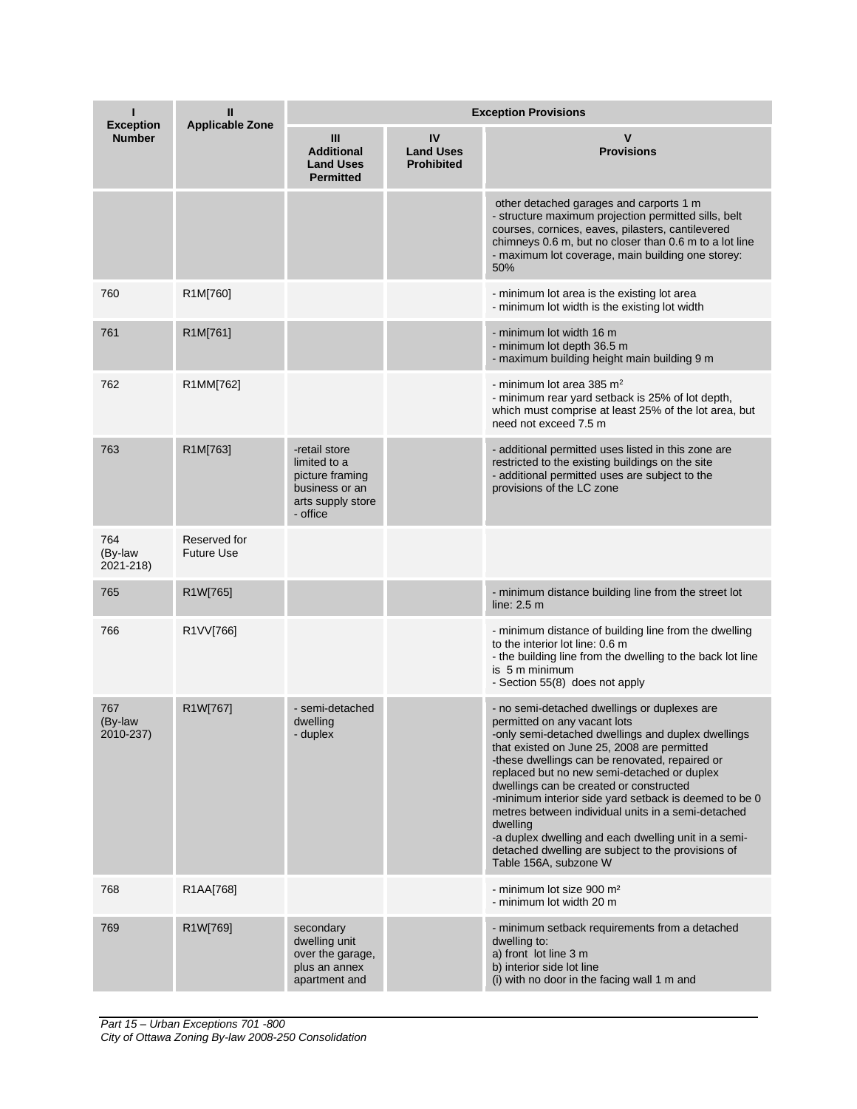| П<br><b>Exception</b>       | Ш<br><b>Applicable Zone</b>       | <b>Exception Provisions</b>                                                                         |                                             |                                                                                                                                                                                                                                                                                                                                                                                                                                                                                                                                                                                                 |  |
|-----------------------------|-----------------------------------|-----------------------------------------------------------------------------------------------------|---------------------------------------------|-------------------------------------------------------------------------------------------------------------------------------------------------------------------------------------------------------------------------------------------------------------------------------------------------------------------------------------------------------------------------------------------------------------------------------------------------------------------------------------------------------------------------------------------------------------------------------------------------|--|
| <b>Number</b>               |                                   | Ш<br><b>Additional</b><br><b>Land Uses</b><br><b>Permitted</b>                                      | IV<br><b>Land Uses</b><br><b>Prohibited</b> | v<br><b>Provisions</b>                                                                                                                                                                                                                                                                                                                                                                                                                                                                                                                                                                          |  |
|                             |                                   |                                                                                                     |                                             | other detached garages and carports 1 m<br>- structure maximum projection permitted sills, belt<br>courses, cornices, eaves, pilasters, cantilevered<br>chimneys 0.6 m, but no closer than 0.6 m to a lot line<br>- maximum lot coverage, main building one storey:<br>50%                                                                                                                                                                                                                                                                                                                      |  |
| 760                         | R1M[760]                          |                                                                                                     |                                             | - minimum lot area is the existing lot area<br>- minimum lot width is the existing lot width                                                                                                                                                                                                                                                                                                                                                                                                                                                                                                    |  |
| 761                         | R1M[761]                          |                                                                                                     |                                             | - minimum lot width 16 m<br>- minimum lot depth 36.5 m<br>- maximum building height main building 9 m                                                                                                                                                                                                                                                                                                                                                                                                                                                                                           |  |
| 762                         | R1MM[762]                         |                                                                                                     |                                             | - minimum lot area 385 m <sup>2</sup><br>- minimum rear yard setback is 25% of lot depth,<br>which must comprise at least 25% of the lot area, but<br>need not exceed 7.5 m                                                                                                                                                                                                                                                                                                                                                                                                                     |  |
| 763                         | R1M[763]                          | -retail store<br>limited to a<br>picture framing<br>business or an<br>arts supply store<br>- office |                                             | - additional permitted uses listed in this zone are<br>restricted to the existing buildings on the site<br>- additional permitted uses are subject to the<br>provisions of the LC zone                                                                                                                                                                                                                                                                                                                                                                                                          |  |
| 764<br>(By-law<br>2021-218) | Reserved for<br><b>Future Use</b> |                                                                                                     |                                             |                                                                                                                                                                                                                                                                                                                                                                                                                                                                                                                                                                                                 |  |
| 765                         | R1W[765]                          |                                                                                                     |                                             | - minimum distance building line from the street lot<br>line: $2.5m$                                                                                                                                                                                                                                                                                                                                                                                                                                                                                                                            |  |
| 766                         | R1VV[766]                         |                                                                                                     |                                             | - minimum distance of building line from the dwelling<br>to the interior lot line: 0.6 m<br>- the building line from the dwelling to the back lot line<br>is 5 m minimum<br>- Section 55(8) does not apply                                                                                                                                                                                                                                                                                                                                                                                      |  |
| 767<br>(By-law<br>2010-237) | R1W[767]                          | - semi-detached<br>dwelling<br>- duplex                                                             |                                             | - no semi-detached dwellings or duplexes are<br>permitted on any vacant lots<br>-only semi-detached dwellings and duplex dwellings<br>that existed on June 25, 2008 are permitted<br>-these dwellings can be renovated, repaired or<br>replaced but no new semi-detached or duplex<br>dwellings can be created or constructed<br>-minimum interior side yard setback is deemed to be 0<br>metres between individual units in a semi-detached<br>dwelling<br>-a duplex dwelling and each dwelling unit in a semi-<br>detached dwelling are subject to the provisions of<br>Table 156A, subzone W |  |
| 768                         | R1AA[768]                         |                                                                                                     |                                             | - minimum lot size 900 m <sup>2</sup><br>- minimum lot width 20 m                                                                                                                                                                                                                                                                                                                                                                                                                                                                                                                               |  |
| 769                         | R1W[769]                          | secondary<br>dwelling unit<br>over the garage,<br>plus an annex<br>apartment and                    |                                             | - minimum setback requirements from a detached<br>dwelling to:<br>a) front lot line 3 m<br>b) interior side lot line<br>(i) with no door in the facing wall 1 m and                                                                                                                                                                                                                                                                                                                                                                                                                             |  |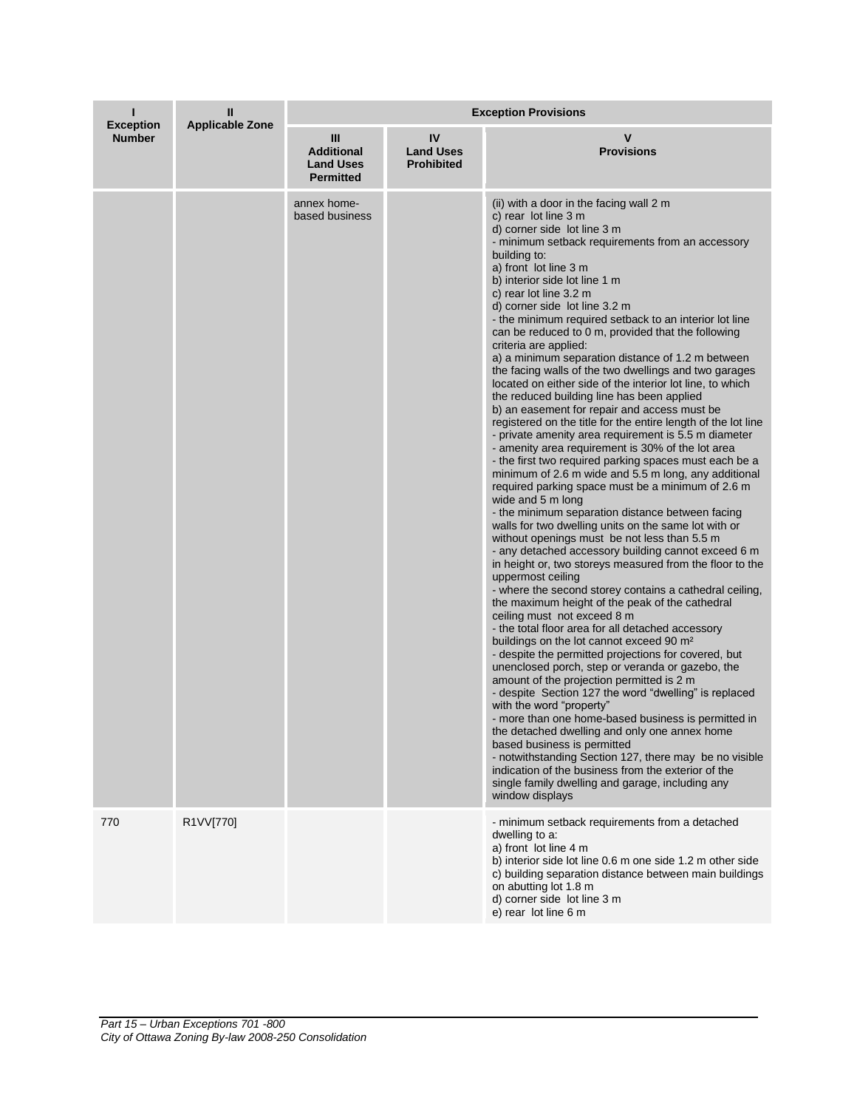|                                   | Ш<br><b>Applicable Zone</b> | <b>Exception Provisions</b>                                    |                                             |                                                                                                                                                                                                                                                                                                                                                                                                                                                                                                                                                                                                                                                                                                                                                                                                                                                                                                                                                                                                                                                                                                                                                                                                                                                                                                                                                                                                                                                                                                                                                                                                                                                                                                                                                                                                                                                                                                                                                                                                                                                                                                                                                                                                                                |  |
|-----------------------------------|-----------------------------|----------------------------------------------------------------|---------------------------------------------|--------------------------------------------------------------------------------------------------------------------------------------------------------------------------------------------------------------------------------------------------------------------------------------------------------------------------------------------------------------------------------------------------------------------------------------------------------------------------------------------------------------------------------------------------------------------------------------------------------------------------------------------------------------------------------------------------------------------------------------------------------------------------------------------------------------------------------------------------------------------------------------------------------------------------------------------------------------------------------------------------------------------------------------------------------------------------------------------------------------------------------------------------------------------------------------------------------------------------------------------------------------------------------------------------------------------------------------------------------------------------------------------------------------------------------------------------------------------------------------------------------------------------------------------------------------------------------------------------------------------------------------------------------------------------------------------------------------------------------------------------------------------------------------------------------------------------------------------------------------------------------------------------------------------------------------------------------------------------------------------------------------------------------------------------------------------------------------------------------------------------------------------------------------------------------------------------------------------------------|--|
| <b>Exception</b><br><b>Number</b> |                             | Ш<br><b>Additional</b><br><b>Land Uses</b><br><b>Permitted</b> | IV<br><b>Land Uses</b><br><b>Prohibited</b> | v<br><b>Provisions</b>                                                                                                                                                                                                                                                                                                                                                                                                                                                                                                                                                                                                                                                                                                                                                                                                                                                                                                                                                                                                                                                                                                                                                                                                                                                                                                                                                                                                                                                                                                                                                                                                                                                                                                                                                                                                                                                                                                                                                                                                                                                                                                                                                                                                         |  |
|                                   |                             | annex home-<br>based business                                  |                                             | (ii) with a door in the facing wall 2 m<br>c) rear lot line 3 m<br>d) corner side lot line 3 m<br>- minimum setback requirements from an accessory<br>building to:<br>a) front lot line 3 m<br>b) interior side lot line 1 m<br>c) rear lot line 3.2 m<br>d) corner side lot line 3.2 m<br>- the minimum required setback to an interior lot line<br>can be reduced to 0 m, provided that the following<br>criteria are applied:<br>a) a minimum separation distance of 1.2 m between<br>the facing walls of the two dwellings and two garages<br>located on either side of the interior lot line, to which<br>the reduced building line has been applied<br>b) an easement for repair and access must be<br>registered on the title for the entire length of the lot line<br>- private amenity area requirement is 5.5 m diameter<br>- amenity area requirement is 30% of the lot area<br>- the first two required parking spaces must each be a<br>minimum of 2.6 m wide and 5.5 m long, any additional<br>required parking space must be a minimum of 2.6 m<br>wide and 5 m long<br>- the minimum separation distance between facing<br>walls for two dwelling units on the same lot with or<br>without openings must be not less than 5.5 m<br>- any detached accessory building cannot exceed 6 m<br>in height or, two storeys measured from the floor to the<br>uppermost ceiling<br>- where the second storey contains a cathedral ceiling,<br>the maximum height of the peak of the cathedral<br>ceiling must not exceed 8 m<br>- the total floor area for all detached accessory<br>buildings on the lot cannot exceed 90 m <sup>2</sup><br>- despite the permitted projections for covered, but<br>unenclosed porch, step or veranda or gazebo, the<br>amount of the projection permitted is 2 m<br>- despite Section 127 the word "dwelling" is replaced<br>with the word "property"<br>- more than one home-based business is permitted in<br>the detached dwelling and only one annex home<br>based business is permitted<br>- notwithstanding Section 127, there may be no visible<br>indication of the business from the exterior of the<br>single family dwelling and garage, including any<br>window displays |  |
| 770                               | R1VV[770]                   |                                                                |                                             | - minimum setback requirements from a detached<br>dwelling to a:<br>a) front lot line 4 m<br>b) interior side lot line 0.6 m one side 1.2 m other side<br>c) building separation distance between main buildings<br>on abutting lot 1.8 m<br>d) corner side lot line 3 m<br>e) rear lot line 6 m                                                                                                                                                                                                                                                                                                                                                                                                                                                                                                                                                                                                                                                                                                                                                                                                                                                                                                                                                                                                                                                                                                                                                                                                                                                                                                                                                                                                                                                                                                                                                                                                                                                                                                                                                                                                                                                                                                                               |  |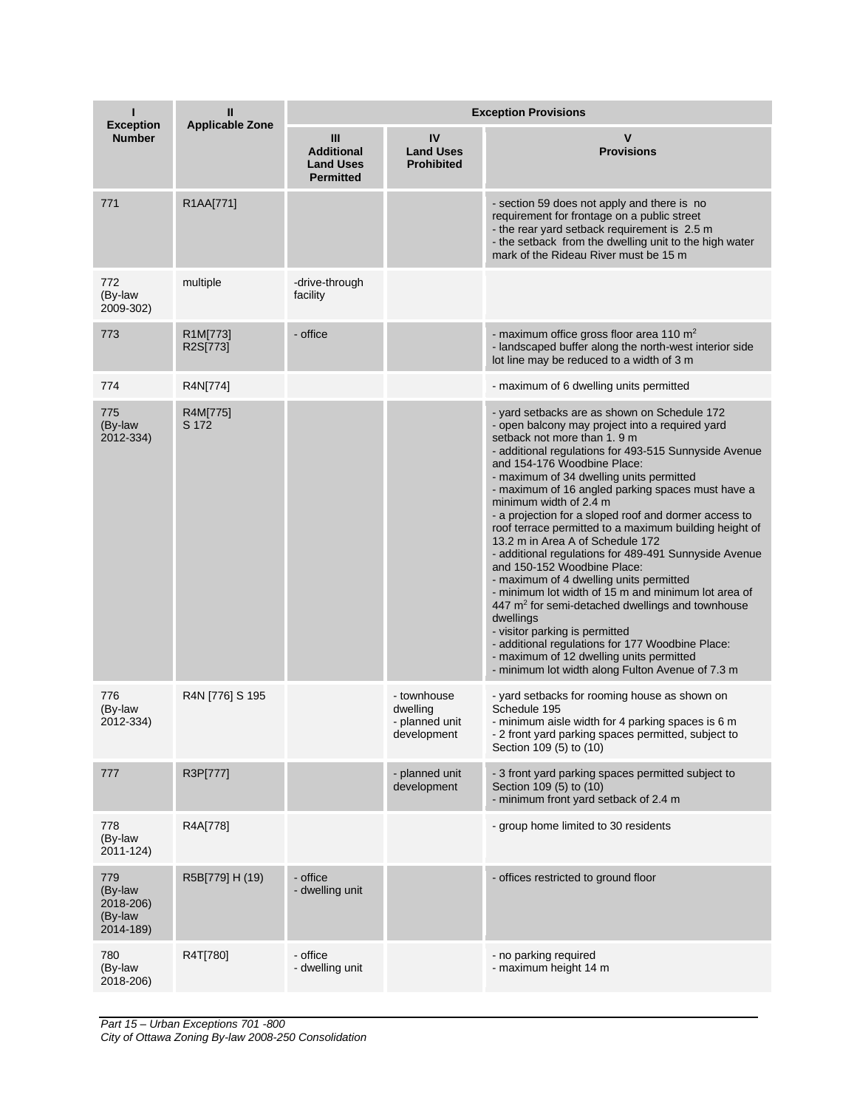| п<br><b>Exception</b>                               | Ш<br><b>Applicable Zone</b> | <b>Exception Provisions</b>                                    |                                                          |                                                                                                                                                                                                                                                                                                                                                                                                                                                                                                                                                                                                                                                                                                                                                                                                                                                                                                                                                                       |  |
|-----------------------------------------------------|-----------------------------|----------------------------------------------------------------|----------------------------------------------------------|-----------------------------------------------------------------------------------------------------------------------------------------------------------------------------------------------------------------------------------------------------------------------------------------------------------------------------------------------------------------------------------------------------------------------------------------------------------------------------------------------------------------------------------------------------------------------------------------------------------------------------------------------------------------------------------------------------------------------------------------------------------------------------------------------------------------------------------------------------------------------------------------------------------------------------------------------------------------------|--|
| <b>Number</b>                                       |                             | Ш<br><b>Additional</b><br><b>Land Uses</b><br><b>Permitted</b> | IV<br><b>Land Uses</b><br><b>Prohibited</b>              | V<br><b>Provisions</b>                                                                                                                                                                                                                                                                                                                                                                                                                                                                                                                                                                                                                                                                                                                                                                                                                                                                                                                                                |  |
| 771                                                 | R1AA[771]                   |                                                                |                                                          | - section 59 does not apply and there is no<br>requirement for frontage on a public street<br>- the rear yard setback requirement is 2.5 m<br>- the setback from the dwelling unit to the high water<br>mark of the Rideau River must be 15 m                                                                                                                                                                                                                                                                                                                                                                                                                                                                                                                                                                                                                                                                                                                         |  |
| 772<br>(By-law<br>2009-302)                         | multiple                    | -drive-through<br>facility                                     |                                                          |                                                                                                                                                                                                                                                                                                                                                                                                                                                                                                                                                                                                                                                                                                                                                                                                                                                                                                                                                                       |  |
| 773                                                 | R1M[773]<br>R2S[773]        | - office                                                       |                                                          | - maximum office gross floor area 110 $m2$<br>- landscaped buffer along the north-west interior side<br>lot line may be reduced to a width of 3 m                                                                                                                                                                                                                                                                                                                                                                                                                                                                                                                                                                                                                                                                                                                                                                                                                     |  |
| 774                                                 | R4N[774]                    |                                                                |                                                          | - maximum of 6 dwelling units permitted                                                                                                                                                                                                                                                                                                                                                                                                                                                                                                                                                                                                                                                                                                                                                                                                                                                                                                                               |  |
| 775<br>(By-law<br>2012-334)                         | R4M[775]<br>S 172           |                                                                |                                                          | - yard setbacks are as shown on Schedule 172<br>- open balcony may project into a required yard<br>setback not more than 1.9 m<br>- additional regulations for 493-515 Sunnyside Avenue<br>and 154-176 Woodbine Place:<br>- maximum of 34 dwelling units permitted<br>- maximum of 16 angled parking spaces must have a<br>minimum width of 2.4 m<br>- a projection for a sloped roof and dormer access to<br>roof terrace permitted to a maximum building height of<br>13.2 m in Area A of Schedule 172<br>- additional regulations for 489-491 Sunnyside Avenue<br>and 150-152 Woodbine Place:<br>- maximum of 4 dwelling units permitted<br>- minimum lot width of 15 m and minimum lot area of<br>447 m <sup>2</sup> for semi-detached dwellings and townhouse<br>dwellings<br>- visitor parking is permitted<br>- additional regulations for 177 Woodbine Place:<br>- maximum of 12 dwelling units permitted<br>- minimum lot width along Fulton Avenue of 7.3 m |  |
| 776<br>(By-law<br>2012-334)                         | R4N [776] S 195             |                                                                | - townhouse<br>dwelling<br>- planned unit<br>development | - yard setbacks for rooming house as shown on<br>Schedule 195<br>- minimum aisle width for 4 parking spaces is 6 m<br>- 2 front yard parking spaces permitted, subject to<br>Section 109 (5) to (10)                                                                                                                                                                                                                                                                                                                                                                                                                                                                                                                                                                                                                                                                                                                                                                  |  |
| 777                                                 | R3P[777]                    |                                                                | - planned unit<br>development                            | - 3 front yard parking spaces permitted subject to<br>Section 109 (5) to (10)<br>- minimum front yard setback of 2.4 m                                                                                                                                                                                                                                                                                                                                                                                                                                                                                                                                                                                                                                                                                                                                                                                                                                                |  |
| 778<br>(By-law<br>2011-124)                         | R4A[778]                    |                                                                |                                                          | - group home limited to 30 residents                                                                                                                                                                                                                                                                                                                                                                                                                                                                                                                                                                                                                                                                                                                                                                                                                                                                                                                                  |  |
| 779<br>(By-law<br>2018-206)<br>(By-law<br>2014-189) | R5B[779] H (19)             | - office<br>- dwelling unit                                    |                                                          | - offices restricted to ground floor                                                                                                                                                                                                                                                                                                                                                                                                                                                                                                                                                                                                                                                                                                                                                                                                                                                                                                                                  |  |
| 780<br>(By-law<br>2018-206)                         | R4T[780]                    | - office<br>- dwelling unit                                    |                                                          | - no parking required<br>- maximum height 14 m                                                                                                                                                                                                                                                                                                                                                                                                                                                                                                                                                                                                                                                                                                                                                                                                                                                                                                                        |  |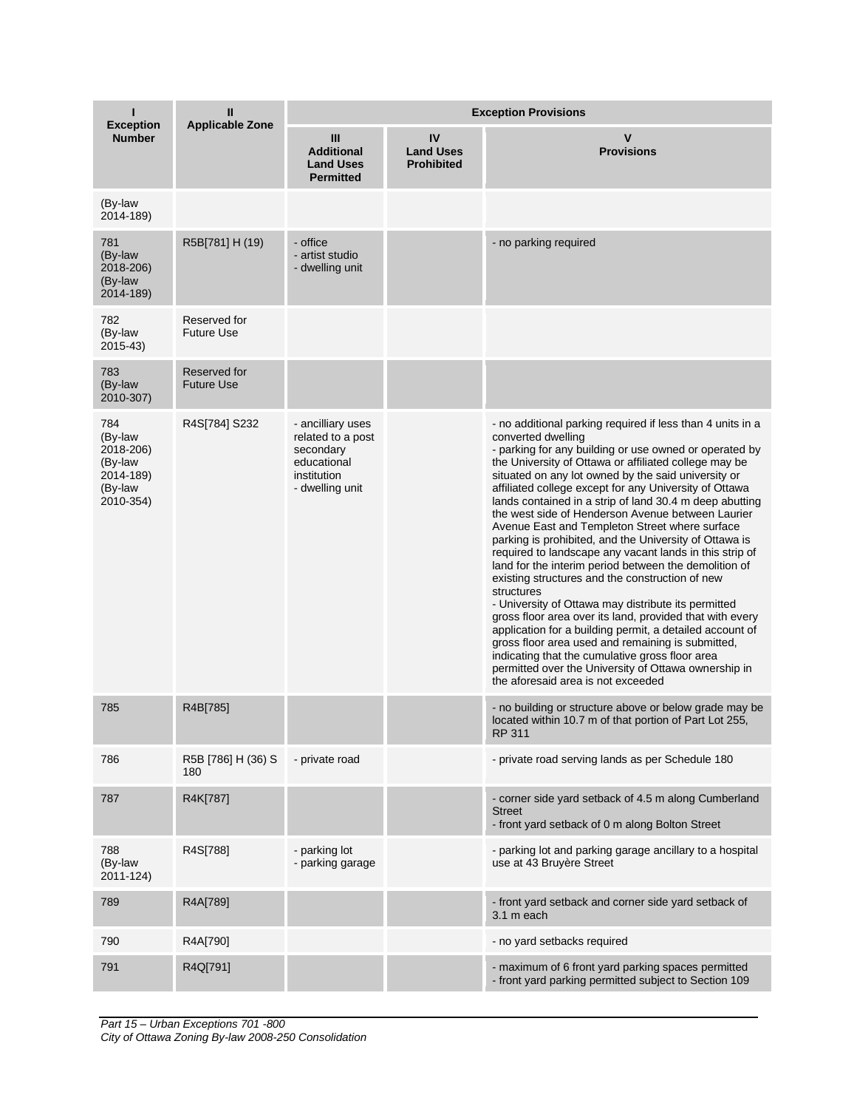| <b>Exception</b><br><b>Number</b>                                           | Ш<br><b>Applicable Zone</b>       | <b>Exception Provisions</b>                                                                          |                                             |                                                                                                                                                                                                                                                                                                                                                                                                                                                                                                                                                                                                                                                                                                                                                                                                                                                                                                                                                                                                                                                                                                                            |  |
|-----------------------------------------------------------------------------|-----------------------------------|------------------------------------------------------------------------------------------------------|---------------------------------------------|----------------------------------------------------------------------------------------------------------------------------------------------------------------------------------------------------------------------------------------------------------------------------------------------------------------------------------------------------------------------------------------------------------------------------------------------------------------------------------------------------------------------------------------------------------------------------------------------------------------------------------------------------------------------------------------------------------------------------------------------------------------------------------------------------------------------------------------------------------------------------------------------------------------------------------------------------------------------------------------------------------------------------------------------------------------------------------------------------------------------------|--|
|                                                                             |                                   | Ш<br><b>Additional</b><br><b>Land Uses</b><br><b>Permitted</b>                                       | IV<br><b>Land Uses</b><br><b>Prohibited</b> | v<br><b>Provisions</b>                                                                                                                                                                                                                                                                                                                                                                                                                                                                                                                                                                                                                                                                                                                                                                                                                                                                                                                                                                                                                                                                                                     |  |
| (By-law<br>2014-189)                                                        |                                   |                                                                                                      |                                             |                                                                                                                                                                                                                                                                                                                                                                                                                                                                                                                                                                                                                                                                                                                                                                                                                                                                                                                                                                                                                                                                                                                            |  |
| 781<br>(By-law<br>2018-206)<br>(By-law<br>2014-189)                         | R5B[781] H (19)                   | - office<br>- artist studio<br>- dwelling unit                                                       |                                             | - no parking required                                                                                                                                                                                                                                                                                                                                                                                                                                                                                                                                                                                                                                                                                                                                                                                                                                                                                                                                                                                                                                                                                                      |  |
| 782<br>(By-law<br>2015-43)                                                  | Reserved for<br><b>Future Use</b> |                                                                                                      |                                             |                                                                                                                                                                                                                                                                                                                                                                                                                                                                                                                                                                                                                                                                                                                                                                                                                                                                                                                                                                                                                                                                                                                            |  |
| 783<br>(By-law<br>2010-307)                                                 | Reserved for<br><b>Future Use</b> |                                                                                                      |                                             |                                                                                                                                                                                                                                                                                                                                                                                                                                                                                                                                                                                                                                                                                                                                                                                                                                                                                                                                                                                                                                                                                                                            |  |
| 784<br>(By-law<br>2018-206)<br>(By-law<br>2014-189)<br>(By-law<br>2010-354) | R4S[784] S232                     | - ancilliary uses<br>related to a post<br>secondary<br>educational<br>institution<br>- dwelling unit |                                             | - no additional parking required if less than 4 units in a<br>converted dwelling<br>- parking for any building or use owned or operated by<br>the University of Ottawa or affiliated college may be<br>situated on any lot owned by the said university or<br>affiliated college except for any University of Ottawa<br>lands contained in a strip of land 30.4 m deep abutting<br>the west side of Henderson Avenue between Laurier<br>Avenue East and Templeton Street where surface<br>parking is prohibited, and the University of Ottawa is<br>required to landscape any vacant lands in this strip of<br>land for the interim period between the demolition of<br>existing structures and the construction of new<br>structures<br>- University of Ottawa may distribute its permitted<br>gross floor area over its land, provided that with every<br>application for a building permit, a detailed account of<br>gross floor area used and remaining is submitted,<br>indicating that the cumulative gross floor area<br>permitted over the University of Ottawa ownership in<br>the aforesaid area is not exceeded |  |
| 785                                                                         | R4B[785]                          |                                                                                                      |                                             | - no building or structure above or below grade may be<br>located within 10.7 m of that portion of Part Lot 255,<br>RP 311                                                                                                                                                                                                                                                                                                                                                                                                                                                                                                                                                                                                                                                                                                                                                                                                                                                                                                                                                                                                 |  |
| 786                                                                         | R5B [786] H (36) S<br>180         | - private road                                                                                       |                                             | - private road serving lands as per Schedule 180                                                                                                                                                                                                                                                                                                                                                                                                                                                                                                                                                                                                                                                                                                                                                                                                                                                                                                                                                                                                                                                                           |  |
| 787                                                                         | R4K[787]                          |                                                                                                      |                                             | - corner side yard setback of 4.5 m along Cumberland<br><b>Street</b><br>- front yard setback of 0 m along Bolton Street                                                                                                                                                                                                                                                                                                                                                                                                                                                                                                                                                                                                                                                                                                                                                                                                                                                                                                                                                                                                   |  |
| 788<br>(By-law<br>2011-124)                                                 | R4S[788]                          | - parking lot<br>- parking garage                                                                    |                                             | - parking lot and parking garage ancillary to a hospital<br>use at 43 Bruyère Street                                                                                                                                                                                                                                                                                                                                                                                                                                                                                                                                                                                                                                                                                                                                                                                                                                                                                                                                                                                                                                       |  |
| 789                                                                         | R4A[789]                          |                                                                                                      |                                             | - front yard setback and corner side yard setback of<br>3.1 m each                                                                                                                                                                                                                                                                                                                                                                                                                                                                                                                                                                                                                                                                                                                                                                                                                                                                                                                                                                                                                                                         |  |
| 790                                                                         | R4A[790]                          |                                                                                                      |                                             | - no yard setbacks required                                                                                                                                                                                                                                                                                                                                                                                                                                                                                                                                                                                                                                                                                                                                                                                                                                                                                                                                                                                                                                                                                                |  |
| 791                                                                         | R4Q[791]                          |                                                                                                      |                                             | - maximum of 6 front yard parking spaces permitted<br>- front yard parking permitted subject to Section 109                                                                                                                                                                                                                                                                                                                                                                                                                                                                                                                                                                                                                                                                                                                                                                                                                                                                                                                                                                                                                |  |